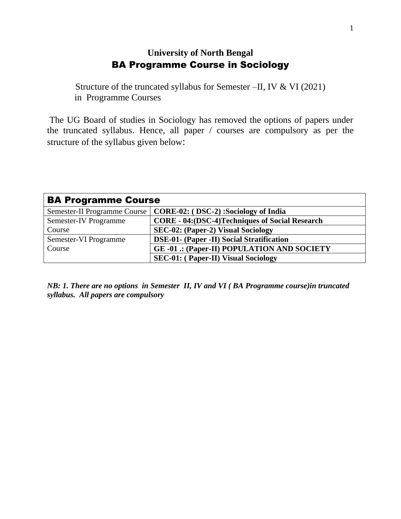## **University of North Bengal** BA Programme Course in Sociology

Structure of the truncated syllabus for Semester –II, IV & VI (2021) in Programme Courses

The UG Board of studies in Sociology has removed the options of papers under the truncated syllabus. Hence, all paper / courses are compulsory as per the structure of the syllabus given below:

| <b>BA Programme Course</b>          |                                                         |
|-------------------------------------|---------------------------------------------------------|
| <b>Semester-II Programme Course</b> | CORE-02: (DSC-2): Sociology of India                    |
| <b>Semester-IV Programme</b>        | <b>CORE - 04: (DSC-4) Techniques of Social Research</b> |
| Course                              | SEC-02: (Paper-2) Visual Sociology                      |
| Semester-VI Programme               | DSE-01- (Paper -II) Social Stratification               |
| Course                              | <b>GE-01 .: (Paper-II) POPULATION AND SOCIETY</b>       |
|                                     | <b>SEC-01: (Paper-II) Visual Sociology</b>              |

*NB: 1. There are no options in Semester II, IV and VI ( BA Programme course)in truncated syllabus. All papers are compulsory*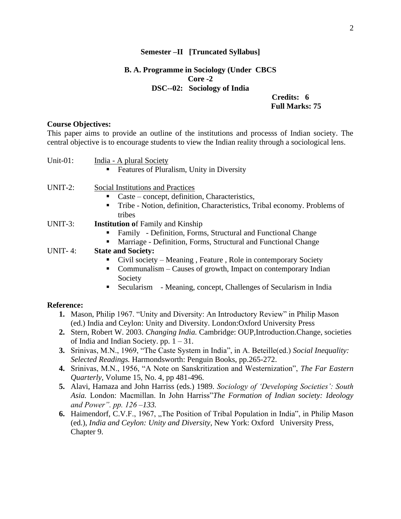#### **Semester –II [Truncated Syllabus]**

## **B. A. Programme in Sociology (Under CBCS Core -2 DSC--02: Sociology of India**

 **Credits: 6 Full Marks: 75** 

#### **Course Objectives:**

This paper aims to provide an outline of the institutions and processs of Indian society. The central objective is to encourage students to view the Indian reality through a sociological lens.

| Unit-01:          | India - A plural Society<br>Features of Pluralism, Unity in Diversity                                                                                                         |  |
|-------------------|-------------------------------------------------------------------------------------------------------------------------------------------------------------------------------|--|
| UNIT-2:           | Social Institutions and Practices<br>Caste – concept, definition, Characteristics,<br>٠<br>Tribe - Notion, definition, Characteristics, Tribal economy. Problems of<br>tribes |  |
| UNIT-3:           | <b>Institution of Family and Kinship</b>                                                                                                                                      |  |
| <b>UNIT-4:</b>    | Family - Definition, Forms, Structural and Functional Change<br>Marriage - Definition, Forms, Structural and Functional Change<br><b>State and Society:</b>                   |  |
|                   | Civil society – Meaning, Feature, Role in contemporary Society                                                                                                                |  |
|                   | Communalism – Causes of growth, Impact on contemporary Indian<br>Society                                                                                                      |  |
|                   | - Meaning, concept, Challenges of Secularism in India<br>Secularism                                                                                                           |  |
| <b>Reference:</b> |                                                                                                                                                                               |  |
|                   | 1. Mason, Philip 1967. "Unity and Diversity: An Introductory Review" in Philip Mason<br>(ed.) India and Ceylon: Unity and Diversity. London: Oxford University Press          |  |
|                   | 2. Stern, Robert W. 2003. Changing India. Cambridge: OUP, Introduction. Change, societies                                                                                     |  |
|                   | of India and Indian Society. pp. $1 - 31$ .                                                                                                                                   |  |
|                   | 3. Srinivas, M.N., 1969, "The Caste System in India", in A. Beteille(ed.) Social Inequality:                                                                                  |  |
|                   | Selected Readings. Harmondsworth: Penguin Books, pp.265-272.                                                                                                                  |  |

- **4.** Srinivas, M.N., 1956, "A Note on Sanskritization and Westernization", *The Far Eastern Quarterly*, Volume 15, No. 4, pp 481-496.
- **5.** Alavi, Hamaza and John Harriss (eds.) 1989. *Sociology of 'Developing Societies': South Asia.* London: Macmillan. In John Harriss"*The Formation of Indian society: Ideology and Power". pp. 126 –133.*
- **6.** Haimendorf, C.V.F., 1967, "The Position of Tribal Population in India", in Philip Mason (ed.), *India and Ceylon: Unity and Diversity*, New York: Oxford University Press, Chapter 9.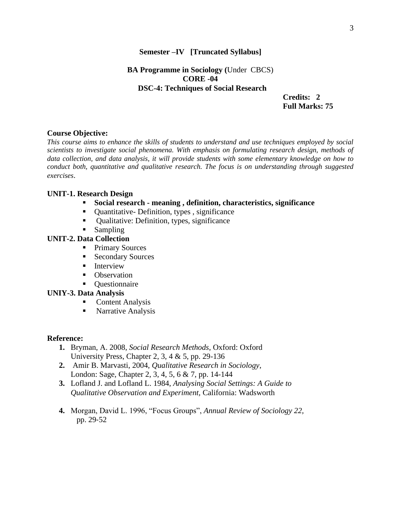#### **Semester –IV [Truncated Syllabus]**

## **BA Programme in Sociology (**Under CBCS) **CORE -04 DSC-4: Techniques of Social Research**

 **Credits: 2 Full Marks: 75** 

## **Course Objective:**

*This course aims to enhance the skills of students to understand and use techniques employed by social scientists to investigate social phenomena. With emphasis on formulating research design, methods of data collection, and data analysis, it will provide students with some elementary knowledge on how to conduct both, quantitative and qualitative research. The focus is on understanding through suggested exercises*.

#### **UNIT-1. Research Design**

- **Social research - meaning , definition, characteristics, significance**
- Quantitative- Definition, types, significance
- Oualitative: Definition, types, significance
- Sampling

## **UNIT-2. Data Collection**

- Primary Sources
- Secondary Sources
- **E** Interview
- Observation
- Questionnaire

#### **UNIY-3. Data Analysis**

- Content Analysis
- Narrative Analysis

#### **Reference:**

- **1.** Bryman, A. 2008, *Social Research Methods*, Oxford: Oxford University Press, Chapter 2, 3, 4 & 5, pp. 29-136
- **2.** Amir B. Marvasti, 2004, *Qualitative Research in Sociology*, London: Sage, Chapter 2, 3, 4, 5, 6 & 7, pp. 14-144
- **3.** Lofland J. and Lofland L. 1984, *Analysing Social Settings: A Guide to Qualitative Observation and Experiment,* California: Wadsworth
- **4.** Morgan, David L. 1996, "Focus Groups", *Annual Review of Sociology 22,* pp. 29‐52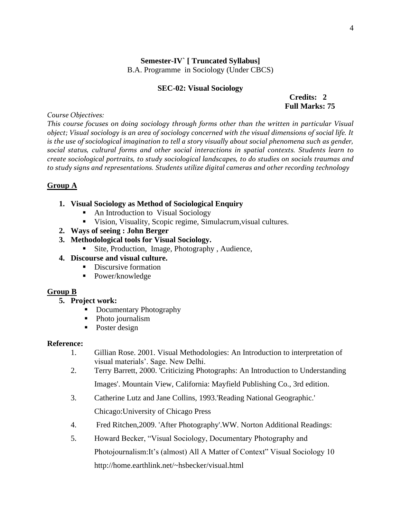# **Semester-IV` [ Truncated Syllabus]**

B.A. Programme in Sociology (Under CBCS)

#### **SEC-02: Visual Sociology**

## **Credits: 2 Full Marks: 75**

*Course Objectives:* 

*This course focuses on doing sociology through forms other than the written in particular Visual object; Visual sociology is an area of sociology concerned with the visual dimensions of social life. It is the use of sociological imagination to tell a story visually about social phenomena such as gender, social status, cultural forms and other social interactions in spatial contexts. Students learn to create sociological portraits, to study sociological landscapes, to do studies on socials traumas and to study signs and representations. Students utilize digital cameras and other recording technology* 

## **Group A**

## **1. Visual Sociology as Method of Sociological Enquiry**

- An Introduction to Visual Sociology
- Vision, Visuality, Scopic regime, Simulacrum,visual cultures.
- **2. Ways of seeing : John Berger**
- **3. Methodological tools for Visual Sociology.**
	- Site, Production, Image, Photography, Audience,
- **4. Discourse and visual culture.** 
	- Discursive formation
	- Power/knowledge

## **Group B**

- **5. Project work:** 
	- Documentary Photography
	- Photo journalism
	- Poster design

## **Reference:**

- 1. Gillian Rose. 2001. Visual Methodologies: An Introduction to interpretation of visual materials'. Sage. New Delhi.
- 2. Terry Barrett, 2000. 'Criticizing Photographs: An Introduction to Understanding Images'. Mountain View, California: Mayfield Publishing Co., 3rd edition.
- 3. Catherine Lutz and Jane Collins, 1993.'Reading National Geographic.' Chicago:University of Chicago Press
- 4. Fred Ritchen,2009. 'After Photography'.WW. Norton Additional Readings:
- 5. Howard Becker, "Visual Sociology, Documentary Photography and Photojournalism:It's (almost) All A Matter of Context" Visual Sociology 10 http://home.earthlink.net/~hsbecker/visual.html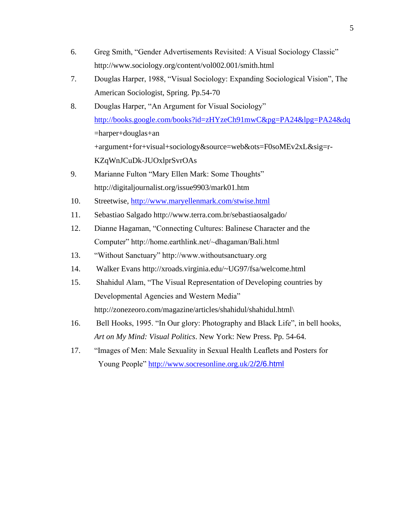- 6. Greg Smith, "Gender Advertisements Revisited: A Visual Sociology Classic" http://www.sociology.org/content/vol002.001/smith.html
- 7. Douglas Harper, 1988, "Visual Sociology: Expanding Sociological Vision", The American Sociologist, Spring. Pp.54-70
- 8. Douglas Harper, "An Argument for Visual Sociology" <http://books.google.com/books?id=zHYzeCh91mwC&pg=PA24&lpg=PA24&dq> =harper+douglas+an +argument+for+visual+sociology&source=web&ots=F0soMEv2xL&sig=r-KZqWnJCuDk-JUOxlprSvrOAs
- 9. Marianne Fulton "Mary Ellen Mark: Some Thoughts" http://digitaljournalist.org/issue9903/mark01.htm
- 10. Streetwise,<http://www.maryellenmark.com/stwise.html>
- 11. Sebastiao Salgado http://www.terra.com.br/sebastiaosalgado/
- 12. Dianne Hagaman, "Connecting Cultures: Balinese Character and the Computer" http://home.earthlink.net/~dhagaman/Bali.html
- 13. "Without Sanctuary" http://www.withoutsanctuary.org
- 14. Walker Evans http://xroads.virginia.edu/~UG97/fsa/welcome.html
- 15. Shahidul Alam, "The Visual Representation of Developing countries by Developmental Agencies and Western Media" http://zonezeoro.com/magazine/articles/shahidul/shahidul.html\
- 16. Bell Hooks, 1995. "In Our glory: Photography and Black Life", in bell hooks, *Art on My Mind: Visual Politics*. New York: New Press. Pp. 54-64.
- 17. "Images of Men: Male Sexuality in Sexual Health Leaflets and Posters for Young People" [http://www.socresonline.org.uk/2](http://www.socresonline.org.uk/2/2/6.html)[/2/6.html](http://www.socresonline.org.uk/2/2/6.html)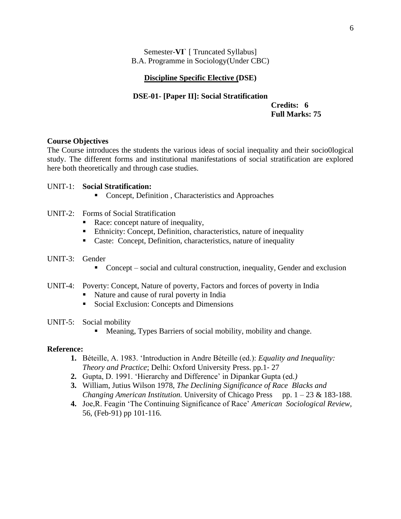Semester-**VI**` [ Truncated Syllabus] B.A. Programme in Sociology(Under CBC)

#### **Discipline Specific Elective (DSE)**

# **DSE-01- [Paper II]: Social Stratification**

 **Credits: 6 Full Marks: 75** 

#### **Course Objectives**

The Course introduces the students the various ideas of social inequality and their socio0logical study. The different forms and institutional manifestations of social stratification are explored here both theoretically and through case studies.

#### UNIT-1: **Social Stratification:**

- Concept, Definition, Characteristics and Approaches
- UNIT-2: Forms of Social Stratification
	- Race: concept nature of inequality,
	- Ethnicity: Concept, Definition, characteristics, nature of inequality
	- Caste: Concept, Definition, characteristics, nature of inequality

#### UNIT-3: Gender

■ Concept – social and cultural construction, inequality, Gender and exclusion

#### UNIT-4: Poverty: Concept, Nature of poverty, Factors and forces of poverty in India

- Nature and cause of rural poverty in India
- Social Exclusion: Concepts and Dimensions

#### UNIT-5: Social mobility

▪ Meaning, Types Barriers of social mobility, mobility and change.

#### **Reference:**

- **1.** Béteille, A. 1983. 'Introduction in Andre Béteille (ed.): *Equality and Inequality: Theory and Practice*; Delhi: Oxford University Press. pp.1‐ 27
- **2.** Gupta, D. 1991. 'Hierarchy and Difference' in Dipankar Gupta (ed*.)*
- **3.** William, Jutius Wilson 1978, *The Declining Significance of Race Blacks and Changing American Institution.* University of Chicago Press pp. 1 – 23 & 183-188.
- **4.** Joe,R. Feagin 'The Continuing Significance of Race' *American Sociological Review,*  56, (Feb‐91) pp 101‐116.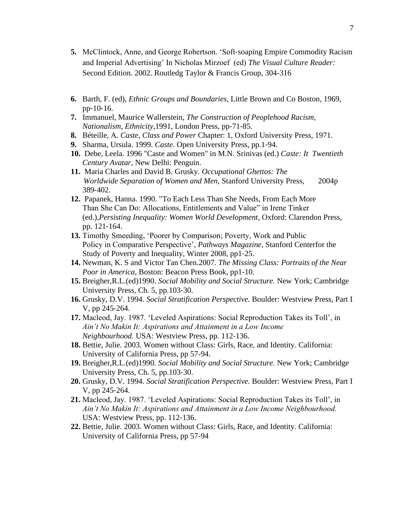- **5.** McClintock, Anne, and George Robertson. 'Soft‐soaping Empire Commodity Racism and Imperial Advertising' In Nicholas Mirzoef (ed) *The Visual Culture Reader:*  Second Edition. 2002. Routledg Taylor & Francis Group, 304-316
- **6.** Barth, F. (ed), *Ethnic Groups and Boundaries,* Little Brown and Co Boston, 1969, pp‐10‐16.
- **7.** Immanuel, Maurice Wallerstein, *The Construction of Peoplehood Racism, Nationalism, Ethnicity*,1991, London Press, pp‐71‐85.
- **8.** Béteille, A. *Caste, Class and Power* Chapter: 1, Oxford University Press, 1971.
- **9.** Sharma, Ursula. 1999. *Caste*. Open University Press, pp.1‐94.
- **10.** Debe, Leela. 1996 "Caste and Women" in M.N. Srinivas (ed.) *Caste: It Twentieth Century Avatar,* New Delhi: Penguin.
- **11.** Maria Charles and David B. Grusky. *Occupational Ghettos: The Worldwide Separation of Women and Men,* Stanford University Press, 2004p 389‐402.
- **12.** Papanek, Hanna. 1990. "To Each Less Than She Needs, From Each More Than She Can Do: Allocations, Entitlements and Value" in Irene Tinker (ed.),*Persisting Inequality: Women World Development*, Oxford: Clarendon Press, pp. 121‐164.
- **13.** Timothy Smeeding, 'Poorer by Comparison; Poverty, Work and Public Policy in Comparative Perspective', *Pathways Magazine,* Stanford Centerfor the Study of Poverty and Inequality, Winter 2008, pp1‐25.
- **14.** Newman, K. S and Victor Tan Chen.2007. *The Missing Class: Portraits of the Near Poor in America*, Boston: Beacon Press Book, pp1‐10.
- **15.** Breigher,R.L.(ed)1990. *Social Mobility and Social Structure.* New York; Cambridge University Press, Ch. 5, pp.103‐30.
- **16.** Grusky, D.V. 1994. *Social Stratification Perspective.* Boulder: Westview Press, Part I V, pp 245‐264.
- **17.** Macleod, Jay. 1987. 'Leveled Aspirations: Social Reproduction Takes its Toll', in *Ain't No Makin It: Aspirations and Attainment in a Low Income Neighbourhood.* USA: Westview Press, pp. 112‐136.
- **18.** Bettie, Julie. 2003. Women without Class: Girls, Race, and Identity. California: University of California Press, pp 57-94.
- **19.** Breigher,R.L.(ed)1990. *Social Mobility and Social Structure.* New York; Cambridge University Press, Ch. 5, pp.103‐30.
- **20.** Grusky, D.V. 1994. *Social Stratification Perspective.* Boulder: Westview Press, Part I V, pp 245‐264.
- **21.** Macleod, Jay. 1987. 'Leveled Aspirations: Social Reproduction Takes its Toll', in *Ain't No Makin It: Aspirations and Attainment in a Low Income Neighbourhood.*  USA: Westview Press, pp. 112‐136.
- **22.** Bettie, Julie. 2003. Women without Class: Girls, Race, and Identity. California: University of California Press, pp 57-94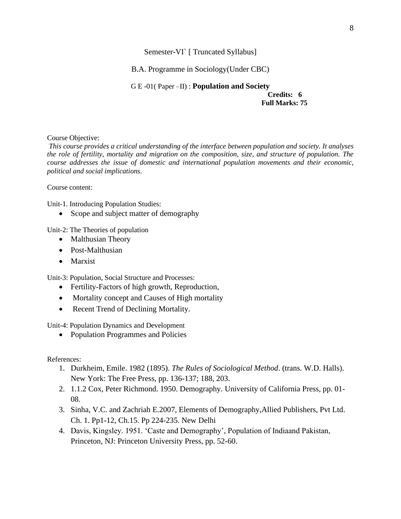Semester-VI` [ Truncated Syllabus]

B.A. Programme in Sociology(Under CBC)

G E -01( Paper –II) : **Population and Society Credits: 6 Full Marks: 75**

#### Course Objective:

*This course provides a critical understanding of the interface between population and society. It analyses the role of fertility, mortality and migration on the composition, size, and structure of population. The course addresses the issue of domestic and international population movements and their economic, political and social implications.*

Course content:

Unit-1. Introducing Population Studies:

• Scope and subject matter of demography

Unit-2: The Theories of population

- Malthusian Theory
- Post-Malthusian
- Marxist

Unit-3: Population, Social Structure and Processes:

- Fertility-Factors of high growth, Reproduction,
- Mortality concept and Causes of High mortality
- Recent Trend of Declining Mortality.

Unit-4: Population Dynamics and Development

• Population Programmes and Policies

References:

- 1. Durkheim, Emile. 1982 (1895). *The Rules of Sociological Method*. (trans. W.D. Halls). New York: The Free Press, pp. 136-137; 188, 203.
- 2. 1.1.2 Cox, Peter Richmond. 1950. Demography. University of California Press, pp. 01- 08.
- 3. Sinha, V.C. and Zachriah E.2007, Elements of Demography,Allied Publishers, Pvt Ltd. Ch. 1. Pp1-12, Ch.15. Pp 224-235. New Delhi
- 4. Davis, Kingsley. 1951. 'Caste and Demography', Population of Indiaand Pakistan, Princeton, NJ: Princeton University Press, pp. 52-60.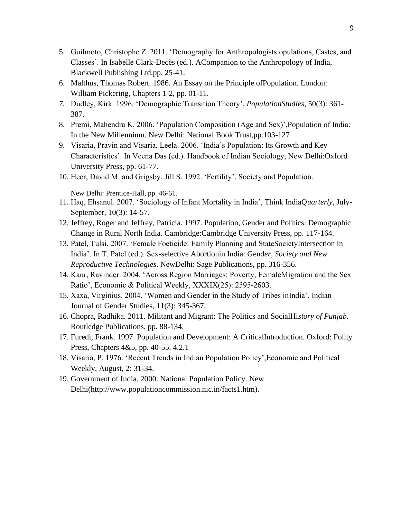- 5. Guilmoto, Christophe Z. 2011. 'Demography for Anthropologists:opulations, Castes, and Classes'. In Isabelle Clark-Decès (ed.). ACompanion to the Anthropology of India, Blackwell Publishing Ltd.pp. 25-41.
- 6. Malthus, Thomas Robert. 1986. An Essay on the Principle ofPopulation. London: William Pickering, Chapters 1-2, pp. 01-11.
- *7.* Dudley, Kirk. 1996. 'Demographic Transition Theory', *PopulationStudies,* 50(3): 361- 387.
- 8. Premi, Mahendra K. 2006. 'Population Composition (Age and Sex)',Population of India: In the New Millennium. New Delhi: National Book Trust,pp.103-127
- 9. Visaria, Pravin and Visaria, Leela. 2006. 'India's Population: Its Growth and Key Characteristics'. In Veena Das (ed.). Handbook of Indian Sociology, New Delhi:Oxford University Press, pp. 61-77.
- 10. Heer, David M. and Grigsby, Jill S. 1992. 'Fertility', Society and Population.

New Delhi: Prentice-Hall, pp. 46-61.

- 11. Haq, Ehsanul. 2007. 'Sociology of Infant Mortality in India', Think IndiaQ*uarterly*, July-September, 10(3): 14-57.
- 12. Jeffrey, Roger and Jeffrey, Patricia. 1997. Population, Gender and Politics: Demographic Change in Rural North India. Cambridge:Cambridge University Press, pp. 117-164.
- 13. Patel, Tulsi. 2007. 'Female Foeticide: Family Planning and StateSocietyIntersection in India'. In T. Patel (ed.). Sex-selective Abortionin India: Gend*er, Society and New Reproductive Technologies*. NewDelhi: Sage Publications, pp. 316-356.
- 14. Kaur, Ravinder. 2004. 'Across Region Marriages: Poverty, FemaleMigration and the Sex Ratio', Economic & Political Weekly, XXXIX(25): 2595-2603.
- 15. Xaxa, Virginius. 2004. 'Women and Gender in the Study of Tribes inIndia', Indian Journal of Gender Studies, 11(3): 345-367.
- 16. Chopra, Radhika. 2011. Militant and Migrant: The Politics and SocialHi*story of Punjab.*  Routledge Publications, pp. 88-134.
- 17. Furedi, Frank. 1997. Population and Development: A CriticalIntroduction. Oxford: Polity Press, Chapters 4&5, pp. 40-55. 4.2.1
- 18. Visaria, P. 1976. 'Recent Trends in Indian Population Policy',Economic and Political Weekly, August, 2: 31-34.
- 19. Government of India. 2000. National Population Policy. New Delhi(http://www.populationcommission.nic.in/facts1.htm).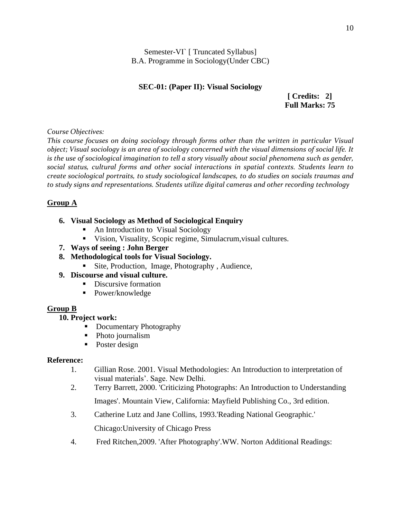Semester-VI` [ Truncated Syllabus] B.A. Programme in Sociology(Under CBC)

## **SEC-01: (Paper II): Visual Sociology**

 **[ Credits: 2] Full Marks: 75** 

*Course Objectives:* 

*This course focuses on doing sociology through forms other than the written in particular Visual object; Visual sociology is an area of sociology concerned with the visual dimensions of social life. It is the use of sociological imagination to tell a story visually about social phenomena such as gender, social status, cultural forms and other social interactions in spatial contexts. Students learn to create sociological portraits, to study sociological landscapes, to do studies on socials traumas and to study signs and representations. Students utilize digital cameras and other recording technology* 

## **Group A**

## **6. Visual Sociology as Method of Sociological Enquiry**

- An Introduction to Visual Sociology
- Vision, Visuality, Scopic regime, Simulacrum,visual cultures.
- **7. Ways of seeing : John Berger**
- **8. Methodological tools for Visual Sociology.**
	- Site, Production, Image, Photography, Audience,

## **9. Discourse and visual culture.**

- Discursive formation
- Power/knowledge

## **Group B**

## **10. Project work:**

- Documentary Photography
- Photo journalism
- Poster design

## **Reference:**

- 1. Gillian Rose. 2001. Visual Methodologies: An Introduction to interpretation of visual materials'. Sage. New Delhi.
- 2. Terry Barrett, 2000. 'Criticizing Photographs: An Introduction to Understanding Images'. Mountain View, California: Mayfield Publishing Co., 3rd edition.
- 3. Catherine Lutz and Jane Collins, 1993.'Reading National Geographic.'

Chicago:University of Chicago Press

4. Fred Ritchen,2009. 'After Photography'.WW. Norton Additional Readings: